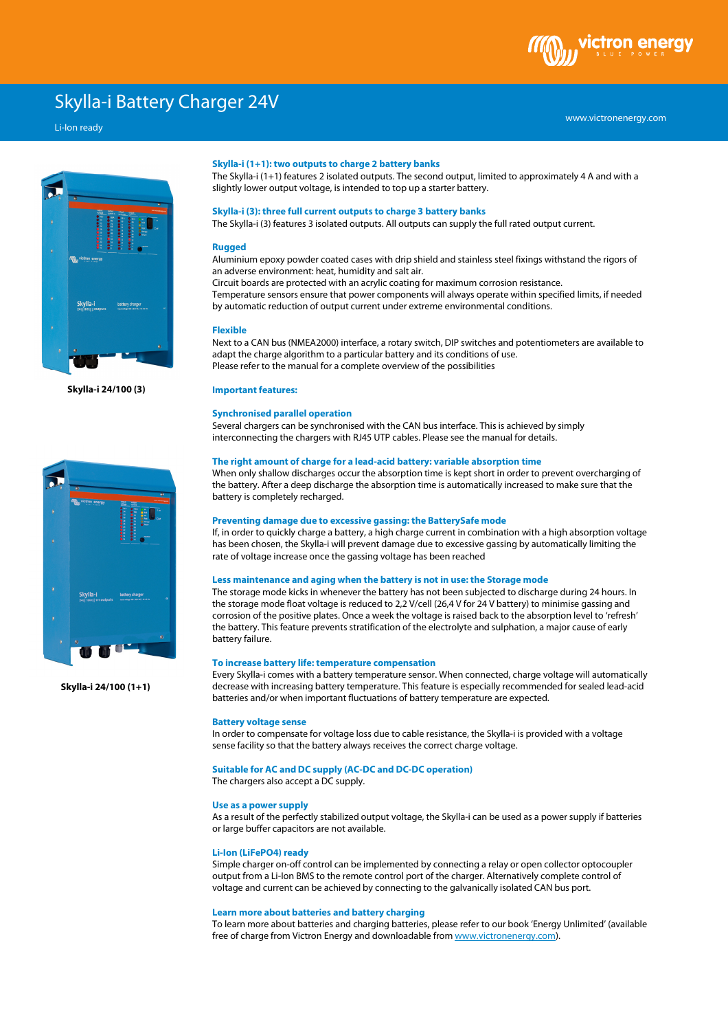# Skylla-i Battery Charger 24V

# Li-Ion ready





**Skylla-i 24/100 (1+1)**

## **Skylla-i (1+1): two outputs to charge 2 battery banks**

The Skylla-i (1+1) features 2 isolated outputs. The second output, limited to approximately 4 A and with a slightly lower output voltage, is intended to top up a starter battery.

## **Skylla-i (3): three full current outputs to charge 3 battery banks**

The Skylla-i (3) features 3 isolated outputs. All outputs can supply the full rated output current.

#### **Rugged**

Aluminium epoxy powder coated cases with drip shield and stainless steel fixings withstand the rigors of an adverse environment: heat, humidity and salt air.

Circuit boards are protected with an acrylic coating for maximum corrosion resistance.

Temperature sensors ensure that power components will always operate within specified limits, if needed by automatic reduction of output current under extreme environmental conditions.

#### **Flexible**

Next to a CAN bus (NMEA2000) interface, a rotary switch, DIP switches and potentiometers are available to adapt the charge algorithm to a particular battery and its conditions of use. Please refer to the manual for a complete overview of the possibilities

**Important features:** 

# **Synchronised parallel operation**

Several chargers can be synchronised with the CAN bus interface. This is achieved by simply interconnecting the chargers with RJ45 UTP cables. Please see the manual for details.

# **The right amount of charge for a lead-acid battery: variable absorption time**

When only shallow discharges occur the absorption time is kept short in order to prevent overcharging of the battery. After a deep discharge the absorption time is automatically increased to make sure that the battery is completely recharged.

#### **Preventing damage due to excessive gassing: the BatterySafe mode**

If, in order to quickly charge a battery, a high charge current in combination with a high absorption voltage has been chosen, the Skylla-i will prevent damage due to excessive gassing by automatically limiting the rate of voltage increase once the gassing voltage has been reached

#### **Less maintenance and aging when the battery is not in use: the Storage mode**

The storage mode kicks in whenever the battery has not been subjected to discharge during 24 hours. In the storage mode float voltage is reduced to 2,2 V/cell (26,4 V for 24 V battery) to minimise gassing and corrosion of the positive plates. Once a week the voltage is raised back to the absorption level to 'refresh' the battery. This feature prevents stratification of the electrolyte and sulphation, a major cause of early battery failure.

## **To increase battery life: temperature compensation**

Every Skylla-i comes with a battery temperature sensor. When connected, charge voltage will automatically decrease with increasing battery temperature. This feature is especially recommended for sealed lead-acid batteries and/or when important fluctuations of battery temperature are expected.

## **Battery voltage sense**

In order to compensate for voltage loss due to cable resistance, the Skylla-i is provided with a voltage sense facility so that the battery always receives the correct charge voltage.

# **Suitable for AC and DC supply (AC-DC and DC-DC operation)**

The chargers also accept a DC supply.

# **Use as a power supply**

As a result of the perfectly stabilized output voltage, the Skylla-i can be used as a power supply if batteries or large buffer capacitors are not available.

## **Li-Ion (LiFePO4) ready**

Simple charger on-off control can be implemented by connecting a relay or open collector optocoupler output from a Li-Ion BMS to the remote control port of the charger. Alternatively complete control of voltage and current can be achieved by connecting to the galvanically isolated CAN bus port.

## **Learn more about batteries and battery charging**

To learn more about batteries and charging batteries, please refer to our book 'Energy Unlimited' (available free of charge from Victron Energy and downloadable from www.victronenergy.com).